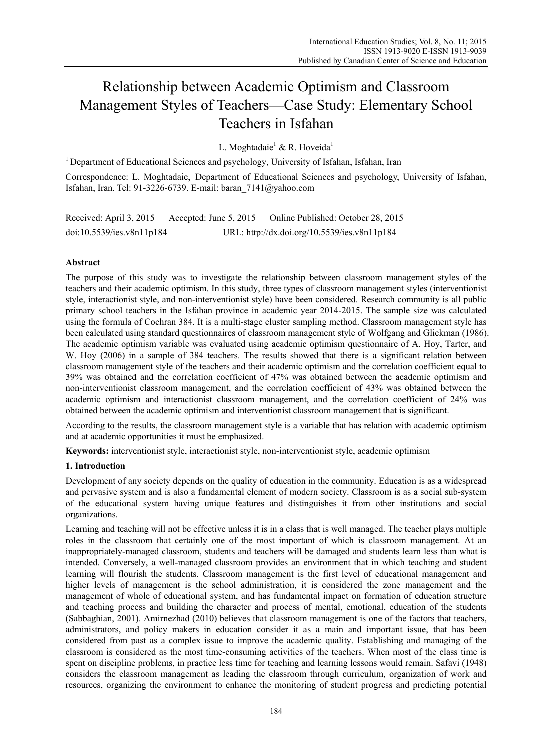# Relationship between Academic Optimism and Classroom Management Styles of Teachers—Case Study: Elementary School Teachers in Isfahan

L. Moghtadaie<sup>1</sup> & R. Hoveida<sup>1</sup>

<sup>1</sup> Department of Educational Sciences and psychology, University of Isfahan, Isfahan, Iran

Correspondence: L. Moghtadaie, Department of Educational Sciences and psychology, University of Isfahan, Isfahan, Iran. Tel: 91-3226-6739. E-mail: baran\_7141@yahoo.com

Received: April 3, 2015 Accepted: June 5, 2015 Online Published: October 28, 2015 doi:10.5539/ies.v8n11p184 URL: http://dx.doi.org/10.5539/ies.v8n11p184

# **Abstract**

The purpose of this study was to investigate the relationship between classroom management styles of the teachers and their academic optimism. In this study, three types of classroom management styles (interventionist style, interactionist style, and non-interventionist style) have been considered. Research community is all public primary school teachers in the Isfahan province in academic year 2014-2015. The sample size was calculated using the formula of Cochran 384. It is a multi-stage cluster sampling method. Classroom management style has been calculated using standard questionnaires of classroom management style of Wolfgang and Glickman (1986). The academic optimism variable was evaluated using academic optimism questionnaire of A. Hoy, Tarter, and W. Hoy (2006) in a sample of 384 teachers. The results showed that there is a significant relation between classroom management style of the teachers and their academic optimism and the correlation coefficient equal to 39% was obtained and the correlation coefficient of 47% was obtained between the academic optimism and non-interventionist classroom management, and the correlation coefficient of 43% was obtained between the academic optimism and interactionist classroom management, and the correlation coefficient of 24% was obtained between the academic optimism and interventionist classroom management that is significant.

According to the results, the classroom management style is a variable that has relation with academic optimism and at academic opportunities it must be emphasized.

**Keywords:** interventionist style, interactionist style, non-interventionist style, academic optimism

#### **1. Introduction**

Development of any society depends on the quality of education in the community. Education is as a widespread and pervasive system and is also a fundamental element of modern society. Classroom is as a social sub-system of the educational system having unique features and distinguishes it from other institutions and social organizations.

Learning and teaching will not be effective unless it is in a class that is well managed. The teacher plays multiple roles in the classroom that certainly one of the most important of which is classroom management. At an inappropriately-managed classroom, students and teachers will be damaged and students learn less than what is intended. Conversely, a well-managed classroom provides an environment that in which teaching and student learning will flourish the students. Classroom management is the first level of educational management and higher levels of management is the school administration, it is considered the zone management and the management of whole of educational system, and has fundamental impact on formation of education structure and teaching process and building the character and process of mental, emotional, education of the students (Sabbaghian, 2001). Amirnezhad (2010) believes that classroom management is one of the factors that teachers, administrators, and policy makers in education consider it as a main and important issue, that has been considered from past as a complex issue to improve the academic quality. Establishing and managing of the classroom is considered as the most time-consuming activities of the teachers. When most of the class time is spent on discipline problems, in practice less time for teaching and learning lessons would remain. Safavi (1948) considers the classroom management as leading the classroom through curriculum, organization of work and resources, organizing the environment to enhance the monitoring of student progress and predicting potential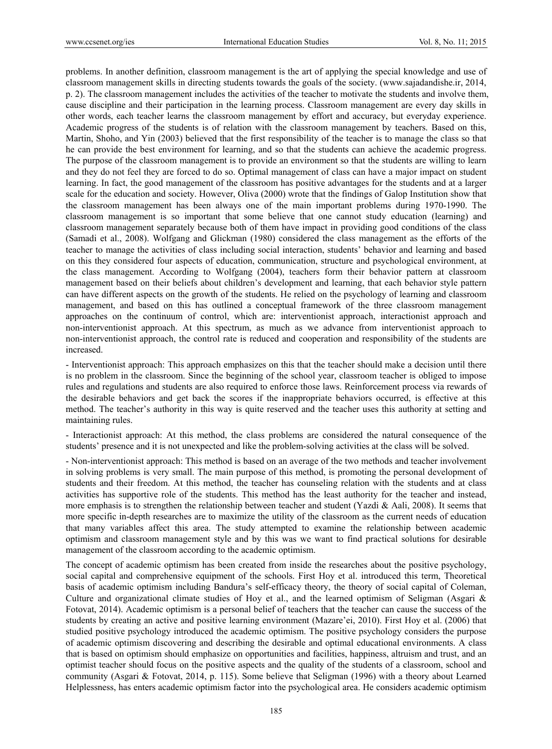problems. In another definition, classroom management is the art of applying the special knowledge and use of classroom management skills in directing students towards the goals of the society. (www.sajadandishe.ir, 2014, p. 2). The classroom management includes the activities of the teacher to motivate the students and involve them, cause discipline and their participation in the learning process. Classroom management are every day skills in other words, each teacher learns the classroom management by effort and accuracy, but everyday experience. Academic progress of the students is of relation with the classroom management by teachers. Based on this, Martin, Shoho, and Yin (2003) believed that the first responsibility of the teacher is to manage the class so that he can provide the best environment for learning, and so that the students can achieve the academic progress. The purpose of the classroom management is to provide an environment so that the students are willing to learn and they do not feel they are forced to do so. Optimal management of class can have a major impact on student learning. In fact, the good management of the classroom has positive advantages for the students and at a larger scale for the education and society. However, Oliva (2000) wrote that the findings of Galop Institution show that the classroom management has been always one of the main important problems during 1970-1990. The classroom management is so important that some believe that one cannot study education (learning) and classroom management separately because both of them have impact in providing good conditions of the class (Samadi et al., 2008). Wolfgang and Glickman (1980) considered the class management as the efforts of the teacher to manage the activities of class including social interaction, students' behavior and learning and based on this they considered four aspects of education, communication, structure and psychological environment, at the class management. According to Wolfgang (2004), teachers form their behavior pattern at classroom management based on their beliefs about children's development and learning, that each behavior style pattern can have different aspects on the growth of the students. He relied on the psychology of learning and classroom management, and based on this has outlined a conceptual framework of the three classroom management approaches on the continuum of control, which are: interventionist approach, interactionist approach and non-interventionist approach. At this spectrum, as much as we advance from interventionist approach to non-interventionist approach, the control rate is reduced and cooperation and responsibility of the students are increased.

- Interventionist approach: This approach emphasizes on this that the teacher should make a decision until there is no problem in the classroom. Since the beginning of the school year, classroom teacher is obliged to impose rules and regulations and students are also required to enforce those laws. Reinforcement process via rewards of the desirable behaviors and get back the scores if the inappropriate behaviors occurred, is effective at this method. The teacher's authority in this way is quite reserved and the teacher uses this authority at setting and maintaining rules.

- Interactionist approach: At this method, the class problems are considered the natural consequence of the students' presence and it is not unexpected and like the problem-solving activities at the class will be solved.

- Non-interventionist approach: This method is based on an average of the two methods and teacher involvement in solving problems is very small. The main purpose of this method, is promoting the personal development of students and their freedom. At this method, the teacher has counseling relation with the students and at class activities has supportive role of the students. This method has the least authority for the teacher and instead, more emphasis is to strengthen the relationship between teacher and student (Yazdi & Aali, 2008). It seems that more specific in-depth researches are to maximize the utility of the classroom as the current needs of education that many variables affect this area. The study attempted to examine the relationship between academic optimism and classroom management style and by this was we want to find practical solutions for desirable management of the classroom according to the academic optimism.

The concept of academic optimism has been created from inside the researches about the positive psychology, social capital and comprehensive equipment of the schools. First Hoy et al. introduced this term, Theoretical basis of academic optimism including Bandura's self-efficacy theory, the theory of social capital of Coleman, Culture and organizational climate studies of Hoy et al., and the learned optimism of Seligman (Asgari & Fotovat, 2014). Academic optimism is a personal belief of teachers that the teacher can cause the success of the students by creating an active and positive learning environment (Mazare'ei, 2010). First Hoy et al. (2006) that studied positive psychology introduced the academic optimism. The positive psychology considers the purpose of academic optimism discovering and describing the desirable and optimal educational environments. A class that is based on optimism should emphasize on opportunities and facilities, happiness, altruism and trust, and an optimist teacher should focus on the positive aspects and the quality of the students of a classroom, school and community (Asgari & Fotovat, 2014, p. 115). Some believe that Seligman (1996) with a theory about Learned Helplessness, has enters academic optimism factor into the psychological area. He considers academic optimism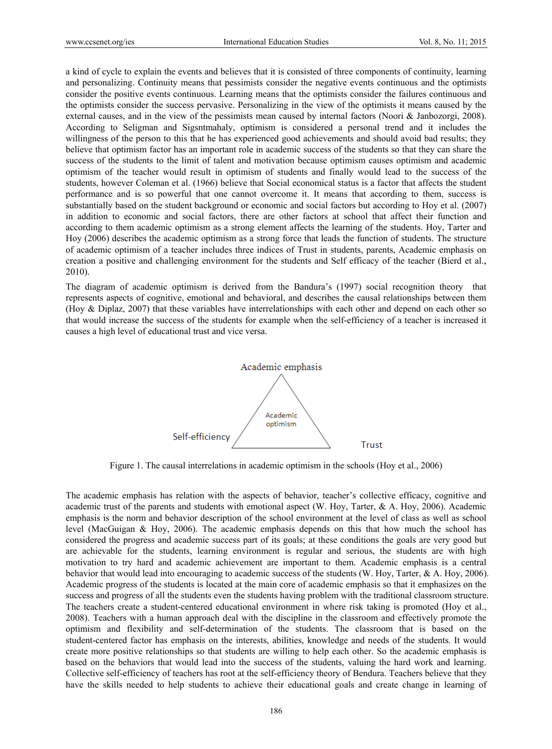a kind of cycle to explain the events and believes that it is consisted of three components of continuity, learning and personalizing. Continuity means that pessimists consider the negative events continuous and the optimists consider the positive events continuous. Learning means that the optimists consider the failures continuous and the optimists consider the success pervasive. Personalizing in the view of the optimists it means caused by the external causes, and in the view of the pessimists mean caused by internal factors (Noori & Janbozorgi, 2008). According to Seligman and Sigsntmahaly, optimism is considered a personal trend and it includes the willingness of the person to this that he has experienced good achievements and should avoid bad results; they believe that optimism factor has an important role in academic success of the students so that they can share the success of the students to the limit of talent and motivation because optimism causes optimism and academic optimism of the teacher would result in optimism of students and finally would lead to the success of the students, however Coleman et al. (1966) believe that Social economical status is a factor that affects the student performance and is so powerful that one cannot overcome it. It means that according to them, success is substantially based on the student background or economic and social factors but according to Hoy et al. (2007) in addition to economic and social factors, there are other factors at school that affect their function and according to them academic optimism as a strong element affects the learning of the students. Hoy, Tarter and Hoy (2006) describes the academic optimism as a strong force that leads the function of students. The structure of academic optimism of a teacher includes three indices of Trust in students, parents, Academic emphasis on creation a positive and challenging environment for the students and Self efficacy of the teacher (Bierd et al., 2010).

The diagram of academic optimism is derived from the Bandura's (1997) social recognition theory that represents aspects of cognitive, emotional and behavioral, and describes the causal relationships between them (Hoy & Diplaz, 2007) that these variables have interrelationships with each other and depend on each other so that would increase the success of the students for example when the self-efficiency of a teacher is increased it causes a high level of educational trust and vice versa.



Figure 1. The causal interrelations in academic optimism in the schools (Hoy et al., 2006)

The academic emphasis has relation with the aspects of behavior, teacher's collective efficacy, cognitive and academic trust of the parents and students with emotional aspect (W. Hoy, Tarter, & A. Hoy, 2006). Academic emphasis is the norm and behavior description of the school environment at the level of class as well as school level (MacGuigan & Hoy, 2006). The academic emphasis depends on this that how much the school has considered the progress and academic success part of its goals; at these conditions the goals are very good but are achievable for the students, learning environment is regular and serious, the students are with high motivation to try hard and academic achievement are important to them. Academic emphasis is a central behavior that would lead into encouraging to academic success of the students (W. Hoy, Tarter, & A. Hoy, 2006). Academic progress of the students is located at the main core of academic emphasis so that it emphasizes on the success and progress of all the students even the students having problem with the traditional classroom structure. The teachers create a student-centered educational environment in where risk taking is promoted (Hoy et al., 2008). Teachers with a human approach deal with the discipline in the classroom and effectively promote the optimism and flexibility and self-determination of the students. The classroom that is based on the student-centered factor has emphasis on the interests, abilities, knowledge and needs of the students. It would create more positive relationships so that students are willing to help each other. So the academic emphasis is based on the behaviors that would lead into the success of the students, valuing the hard work and learning. Collective self-efficiency of teachers has root at the self-efficiency theory of Bendura. Teachers believe that they have the skills needed to help students to achieve their educational goals and create change in learning of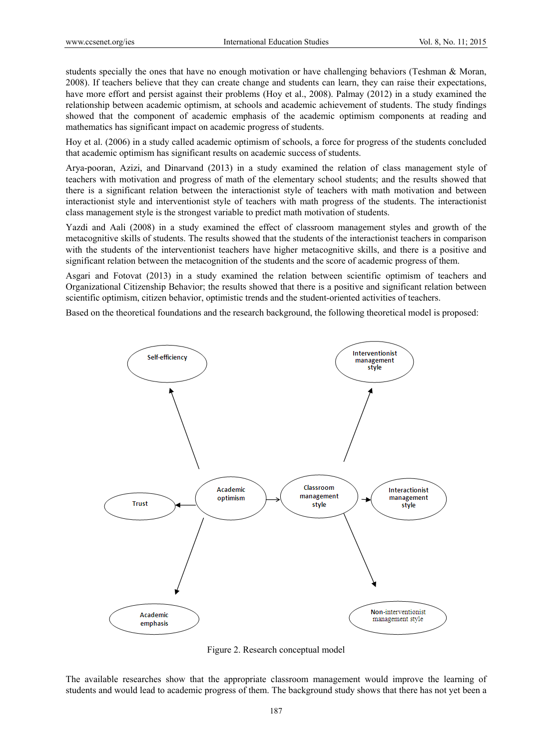students specially the ones that have no enough motivation or have challenging behaviors (Teshman & Moran, 2008). If teachers believe that they can create change and students can learn, they can raise their expectations, have more effort and persist against their problems (Hoy et al., 2008). Palmay (2012) in a study examined the relationship between academic optimism, at schools and academic achievement of students. The study findings showed that the component of academic emphasis of the academic optimism components at reading and mathematics has significant impact on academic progress of students.

Hoy et al. (2006) in a study called academic optimism of schools, a force for progress of the students concluded that academic optimism has significant results on academic success of students.

Arya-pooran, Azizi, and Dinarvand (2013) in a study examined the relation of class management style of teachers with motivation and progress of math of the elementary school students; and the results showed that there is a significant relation between the interactionist style of teachers with math motivation and between interactionist style and interventionist style of teachers with math progress of the students. The interactionist class management style is the strongest variable to predict math motivation of students.

Yazdi and Aali (2008) in a study examined the effect of classroom management styles and growth of the metacognitive skills of students. The results showed that the students of the interactionist teachers in comparison with the students of the interventionist teachers have higher metacognitive skills, and there is a positive and significant relation between the metacognition of the students and the score of academic progress of them.

Asgari and Fotovat (2013) in a study examined the relation between scientific optimism of teachers and Organizational Citizenship Behavior; the results showed that there is a positive and significant relation between scientific optimism, citizen behavior, optimistic trends and the student-oriented activities of teachers.

Based on the theoretical foundations and the research background, the following theoretical model is proposed:



Figure 2. Research conceptual model

The available researches show that the appropriate classroom management would improve the learning of students and would lead to academic progress of them. The background study shows that there has not yet been a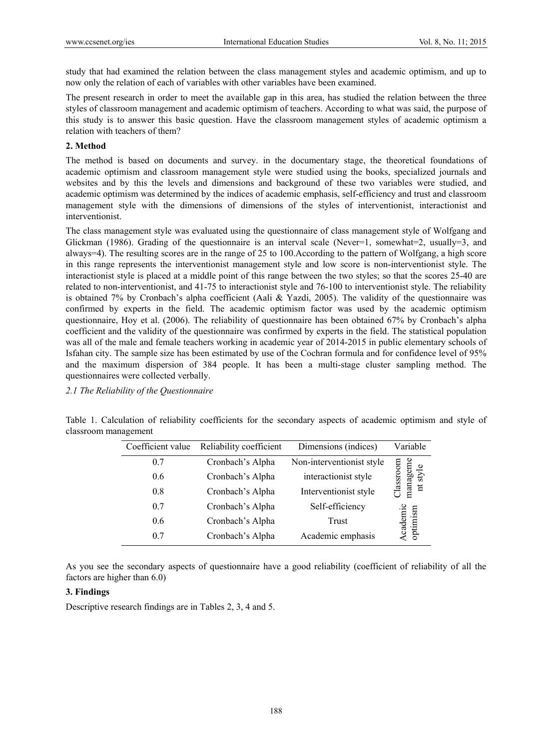study that had examined the relation between the class management styles and academic optimism, and up to now only the relation of each of variables with other variables have been examined.

The present research in order to meet the available gap in this area, has studied the relation between the three styles of classroom management and academic optimism of teachers. According to what was said, the purpose of this study is to answer this basic question. Have the classroom management styles of academic optimism a relation with teachers of them?

#### **2. Method**

The method is based on documents and survey. in the documentary stage, the theoretical foundations of academic optimism and classroom management style were studied using the books, specialized journals and websites and by this the levels and dimensions and background of these two variables were studied, and academic optimism was determined by the indices of academic emphasis, self-efficiency and trust and classroom management style with the dimensions of dimensions of the styles of interventionist, interactionist and interventionist.

The class management style was evaluated using the questionnaire of class management style of Wolfgang and Glickman (1986). Grading of the questionnaire is an interval scale (Never=1, somewhat=2, usually=3, and always=4). The resulting scores are in the range of 25 to 100.According to the pattern of Wolfgang, a high score in this range represents the interventionist management style and low score is non-interventionist style. The interactionist style is placed at a middle point of this range between the two styles; so that the scores 25-40 are related to non-interventionist, and 41-75 to interactionist style and 76-100 to interventionist style. The reliability is obtained 7% by Cronbach's alpha coefficient (Aali & Yazdi, 2005). The validity of the questionnaire was confirmed by experts in the field. The academic optimism factor was used by the academic optimism questionnaire, Hoy et al. (2006). The reliability of questionnaire has been obtained 67% by Cronbach's alpha coefficient and the validity of the questionnaire was confirmed by experts in the field. The statistical population was all of the male and female teachers working in academic year of 2014-2015 in public elementary schools of Isfahan city. The sample size has been estimated by use of the Cochran formula and for confidence level of 95% and the maximum dispersion of 384 people. It has been a multi-stage cluster sampling method. The questionnaires were collected verbally.

*2.1 The Reliability of the Questionnaire* 

| Coefficient value | Reliability coefficient | Dimensions (indices)      | Variable             |
|-------------------|-------------------------|---------------------------|----------------------|
| 07                | Cronbach's Alpha        | Non-interventionist style |                      |
| 0.6               | Cronbach's Alpha        | interactionist style      | lassr                |
| 0.8               | Cronbach's Alpha        | Interventionist style     | managem<br>nt style  |
| 07                | Cronbach's Alpha        | Self-efficiency           |                      |
| 0.6               | Cronbach's Alpha        | Trust                     | Academic<br>optimism |
| 0.7               | Cronbach's Alpha        | Academic emphasis         |                      |

Table 1. Calculation of reliability coefficients for the secondary aspects of academic optimism and style of classroom management

As you see the secondary aspects of questionnaire have a good reliability (coefficient of reliability of all the factors are higher than 6.0)

# **3. Findings**

Descriptive research findings are in Tables 2, 3, 4 and 5.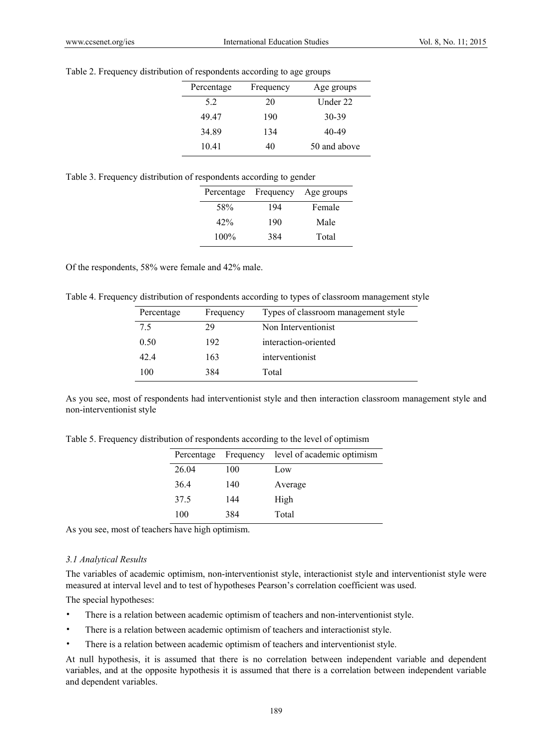| Percentage | Frequency | Age groups   |
|------------|-----------|--------------|
| 52         | 20        | Under 22     |
| 49.47      | 190       | 30-39        |
| 34.89      | 134       | 40-49        |
| 10.41      | 40        | 50 and above |

### Table 3. Frequency distribution of respondents according to gender

| Percentage | Frequency | Age groups |
|------------|-----------|------------|
| 58%        | 194       | Female     |
| $42\%$     | 190       | Male       |
| $100\%$    | 384       | Total      |

Of the respondents, 58% were female and 42% male.

Table 4. Frequency distribution of respondents according to types of classroom management style

| Percentage | Frequency | Types of classroom management style |
|------------|-----------|-------------------------------------|
| 75         | 29        | Non Interventionist                 |
| 0.50       | 192       | interaction-oriented                |
| 42.4       | 163       | interventionist                     |
| 100        | 384       | Total                               |

As you see, most of respondents had interventionist style and then interaction classroom management style and non-interventionist style

|  | Table 5. Frequency distribution of respondents according to the level of optimism |  |  |  |
|--|-----------------------------------------------------------------------------------|--|--|--|
|  |                                                                                   |  |  |  |

| Percentage | Frequency | level of academic optimism |
|------------|-----------|----------------------------|
| 26.04      | 100       | Low                        |
| 36.4       | 140       | Average                    |
| 37.5       | 144       | High                       |
| 100        | 384       | Total                      |

As you see, most of teachers have high optimism.

#### *3.1 Analytical Results*

The variables of academic optimism, non-interventionist style, interactionist style and interventionist style were measured at interval level and to test of hypotheses Pearson's correlation coefficient was used.

The special hypotheses:

- There is a relation between academic optimism of teachers and non-interventionist style.
- There is a relation between academic optimism of teachers and interactionist style.
- There is a relation between academic optimism of teachers and interventionist style.

At null hypothesis, it is assumed that there is no correlation between independent variable and dependent variables, and at the opposite hypothesis it is assumed that there is a correlation between independent variable and dependent variables.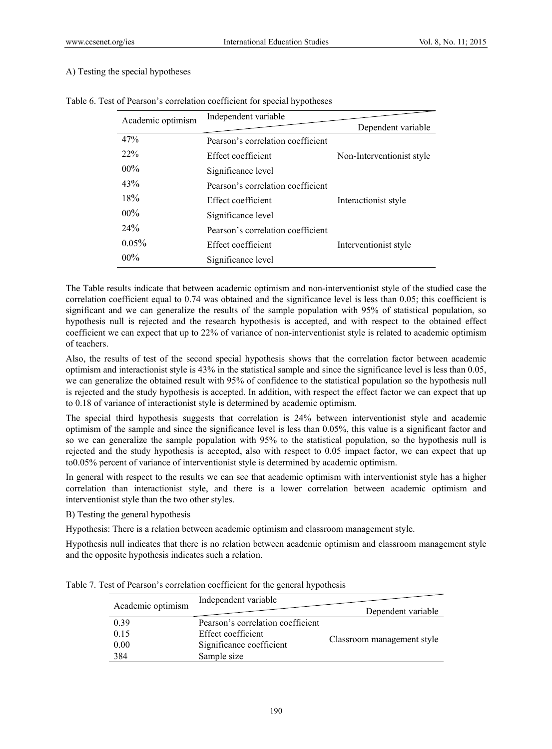#### A) Testing the special hypotheses

| Academic optimism | Independent variable              |                           |
|-------------------|-----------------------------------|---------------------------|
|                   |                                   | Dependent variable        |
| 47%               | Pearson's correlation coefficient |                           |
| 22%               | Effect coefficient                | Non-Interventionist style |
| $00\%$            | Significance level                |                           |
| 43%               | Pearson's correlation coefficient |                           |
| 18%               | Effect coefficient                | Interactionist style      |
| $00\%$            | Significance level                |                           |
| $24\%$            | Pearson's correlation coefficient |                           |
| $0.05\%$          | Effect coefficient                | Interventionist style     |
| $00\%$            | Significance level                |                           |

Table 6. Test of Pearson's correlation coefficient for special hypotheses

The Table results indicate that between academic optimism and non-interventionist style of the studied case the correlation coefficient equal to 0.74 was obtained and the significance level is less than 0.05; this coefficient is significant and we can generalize the results of the sample population with 95% of statistical population, so hypothesis null is rejected and the research hypothesis is accepted, and with respect to the obtained effect coefficient we can expect that up to 22% of variance of non-interventionist style is related to academic optimism of teachers.

Also, the results of test of the second special hypothesis shows that the correlation factor between academic optimism and interactionist style is 43% in the statistical sample and since the significance level is less than 0.05, we can generalize the obtained result with 95% of confidence to the statistical population so the hypothesis null is rejected and the study hypothesis is accepted. In addition, with respect the effect factor we can expect that up to 0.18 of variance of interactionist style is determined by academic optimism.

The special third hypothesis suggests that correlation is 24% between interventionist style and academic optimism of the sample and since the significance level is less than 0.05%, this value is a significant factor and so we can generalize the sample population with 95% to the statistical population, so the hypothesis null is rejected and the study hypothesis is accepted, also with respect to 0.05 impact factor, we can expect that up to0.05% percent of variance of interventionist style is determined by academic optimism.

In general with respect to the results we can see that academic optimism with interventionist style has a higher correlation than interactionist style, and there is a lower correlation between academic optimism and interventionist style than the two other styles.

# B) Testing the general hypothesis

Hypothesis: There is a relation between academic optimism and classroom management style.

Hypothesis null indicates that there is no relation between academic optimism and classroom management style and the opposite hypothesis indicates such a relation.

|                   | Independent variable              |                            |  |
|-------------------|-----------------------------------|----------------------------|--|
| Academic optimism |                                   | Dependent variable         |  |
| 0.39              | Pearson's correlation coefficient |                            |  |
| 0.15              | Effect coefficient                |                            |  |
| 0.00              | Significance coefficient          | Classroom management style |  |
| 384               | Sample size                       |                            |  |

Table 7. Test of Pearson's correlation coefficient for the general hypothesis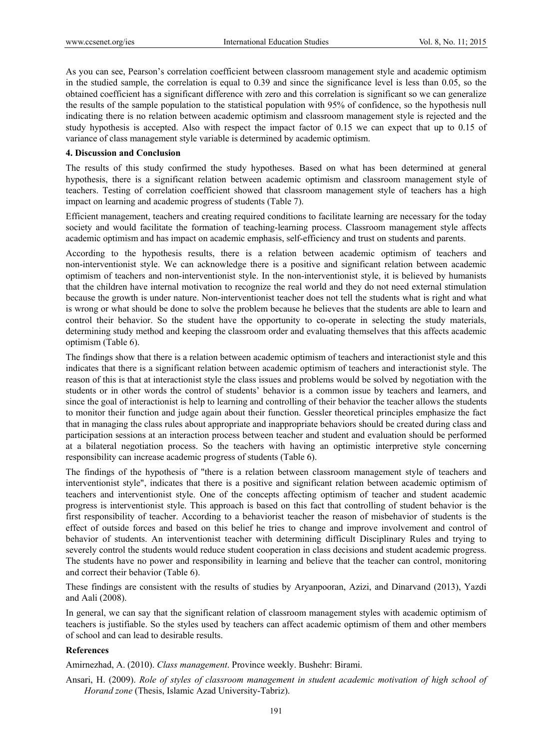As you can see, Pearson's correlation coefficient between classroom management style and academic optimism in the studied sample, the correlation is equal to 0.39 and since the significance level is less than 0.05, so the obtained coefficient has a significant difference with zero and this correlation is significant so we can generalize the results of the sample population to the statistical population with 95% of confidence, so the hypothesis null indicating there is no relation between academic optimism and classroom management style is rejected and the study hypothesis is accepted. Also with respect the impact factor of 0.15 we can expect that up to 0.15 of variance of class management style variable is determined by academic optimism.

#### **4. Discussion and Conclusion**

The results of this study confirmed the study hypotheses. Based on what has been determined at general hypothesis, there is a significant relation between academic optimism and classroom management style of teachers. Testing of correlation coefficient showed that classroom management style of teachers has a high impact on learning and academic progress of students (Table 7).

Efficient management, teachers and creating required conditions to facilitate learning are necessary for the today society and would facilitate the formation of teaching-learning process. Classroom management style affects academic optimism and has impact on academic emphasis, self-efficiency and trust on students and parents.

According to the hypothesis results, there is a relation between academic optimism of teachers and non-interventionist style. We can acknowledge there is a positive and significant relation between academic optimism of teachers and non-interventionist style. In the non-interventionist style, it is believed by humanists that the children have internal motivation to recognize the real world and they do not need external stimulation because the growth is under nature. Non-interventionist teacher does not tell the students what is right and what is wrong or what should be done to solve the problem because he believes that the students are able to learn and control their behavior. So the student have the opportunity to co-operate in selecting the study materials, determining study method and keeping the classroom order and evaluating themselves that this affects academic optimism (Table 6).

The findings show that there is a relation between academic optimism of teachers and interactionist style and this indicates that there is a significant relation between academic optimism of teachers and interactionist style. The reason of this is that at interactionist style the class issues and problems would be solved by negotiation with the students or in other words the control of students' behavior is a common issue by teachers and learners, and since the goal of interactionist is help to learning and controlling of their behavior the teacher allows the students to monitor their function and judge again about their function. Gessler theoretical principles emphasize the fact that in managing the class rules about appropriate and inappropriate behaviors should be created during class and participation sessions at an interaction process between teacher and student and evaluation should be performed at a bilateral negotiation process. So the teachers with having an optimistic interpretive style concerning responsibility can increase academic progress of students (Table 6).

The findings of the hypothesis of "there is a relation between classroom management style of teachers and interventionist style", indicates that there is a positive and significant relation between academic optimism of teachers and interventionist style. One of the concepts affecting optimism of teacher and student academic progress is interventionist style. This approach is based on this fact that controlling of student behavior is the first responsibility of teacher. According to a behaviorist teacher the reason of misbehavior of students is the effect of outside forces and based on this belief he tries to change and improve involvement and control of behavior of students. An interventionist teacher with determining difficult Disciplinary Rules and trying to severely control the students would reduce student cooperation in class decisions and student academic progress. The students have no power and responsibility in learning and believe that the teacher can control, monitoring and correct their behavior (Table 6).

These findings are consistent with the results of studies by Aryanpooran, Azizi, and Dinarvand (2013), Yazdi and Aali (2008).

In general, we can say that the significant relation of classroom management styles with academic optimism of teachers is justifiable. So the styles used by teachers can affect academic optimism of them and other members of school and can lead to desirable results.

#### **References**

Amirnezhad, A. (2010). *Class management*. Province weekly. Bushehr: Birami.

Ansari, H. (2009). *Role of styles of classroom management in student academic motivation of high school of Horand zone* (Thesis, Islamic Azad University-Tabriz).